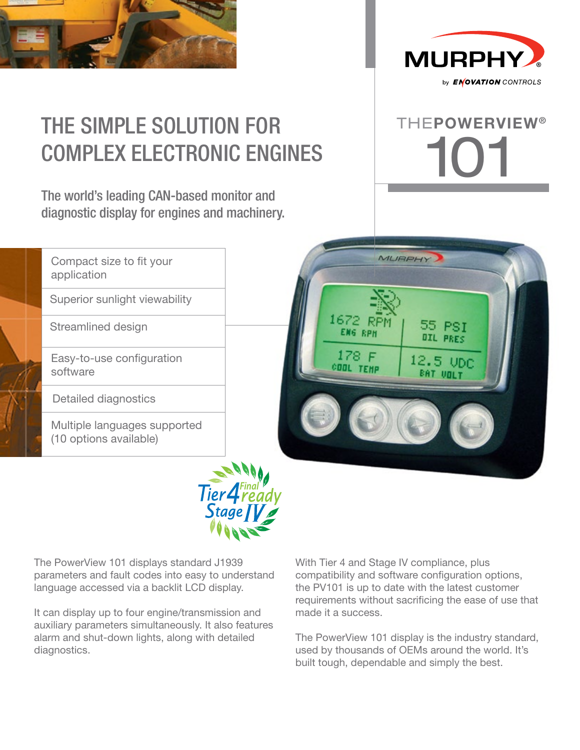

Superior sunlight viewability

Easy-to-use configuration

Compact size to fit your

Streamlined design

application

software

Detailed diagnostics

(10 options available)



# THE SIMPLE SOLUTION FOR COMPLEX ELECTRONIC ENGINES

The world's leading CAN-based monitor and diagnostic display for engines and machinery.







The PowerView 101 displays standard J1939 parameters and fault codes into easy to understand language accessed via a backlit LCD display.

It can display up to four engine/transmission and auxiliary parameters simultaneously. It also features alarm and shut-down lights, along with detailed diagnostics.

With Tier 4 and Stage IV compliance, plus compatibility and software configuration options, the PV101 is up to date with the latest customer requirements without sacrificing the ease of use that made it a success.

The PowerView 101 display is the industry standard, used by thousands of OEMs around the world. It's built tough, dependable and simply the best.